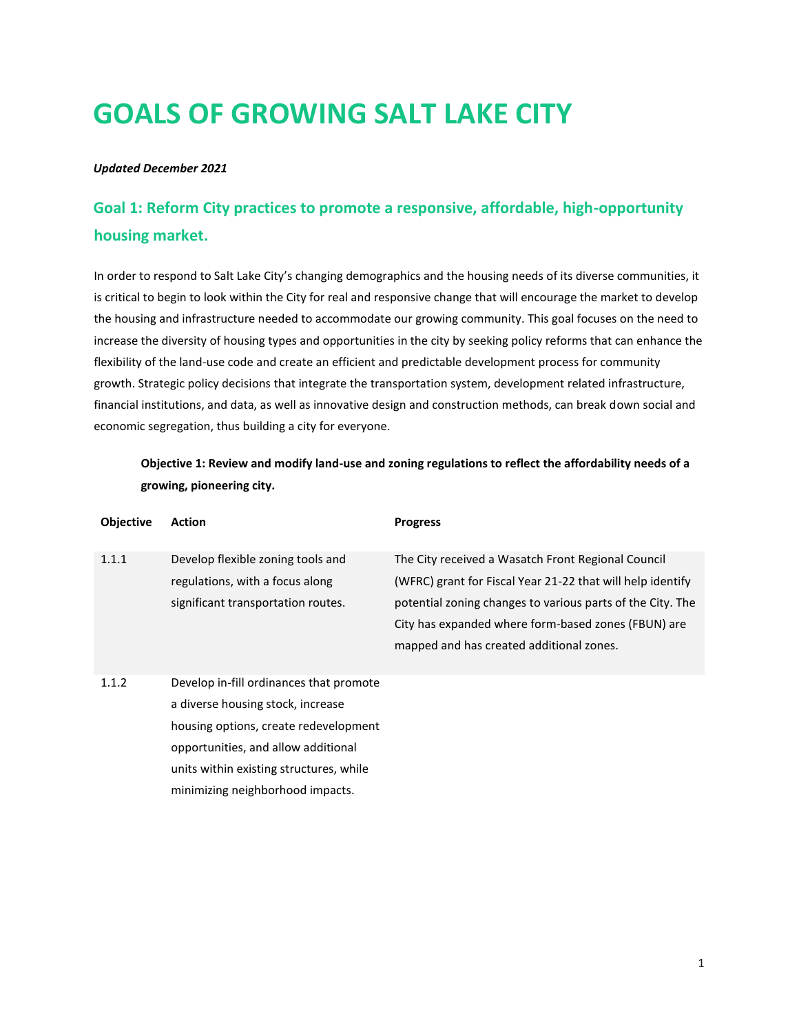# **GOALS OF GROWING SALT LAKE CITY**

#### *Updated December 2021*

## **Goal 1: Reform City practices to promote a responsive, affordable, high-opportunity housing market.**

In order to respond to Salt Lake City's changing demographics and the housing needs of its diverse communities, it is critical to begin to look within the City for real and responsive change that will encourage the market to develop the housing and infrastructure needed to accommodate our growing community. This goal focuses on the need to increase the diversity of housing types and opportunities in the city by seeking policy reforms that can enhance the flexibility of the land-use code and create an efficient and predictable development process for community growth. Strategic policy decisions that integrate the transportation system, development related infrastructure, financial institutions, and data, as well as innovative design and construction methods, can break down social and economic segregation, thus building a city for everyone.

**Objective 1: Review and modify land-use and zoning regulations to reflect the affordability needs of a growing, pioneering city.**

| <b>Objective</b> | <b>Action</b>                                                                                                                                                                                                                               | <b>Progress</b>                                                                                                                                                                                                                                                                   |
|------------------|---------------------------------------------------------------------------------------------------------------------------------------------------------------------------------------------------------------------------------------------|-----------------------------------------------------------------------------------------------------------------------------------------------------------------------------------------------------------------------------------------------------------------------------------|
| 1.1.1            | Develop flexible zoning tools and<br>regulations, with a focus along<br>significant transportation routes.                                                                                                                                  | The City received a Wasatch Front Regional Council<br>(WFRC) grant for Fiscal Year 21-22 that will help identify<br>potential zoning changes to various parts of the City. The<br>City has expanded where form-based zones (FBUN) are<br>mapped and has created additional zones. |
| 1.1.2            | Develop in-fill ordinances that promote<br>a diverse housing stock, increase<br>housing options, create redevelopment<br>opportunities, and allow additional<br>units within existing structures, while<br>minimizing neighborhood impacts. |                                                                                                                                                                                                                                                                                   |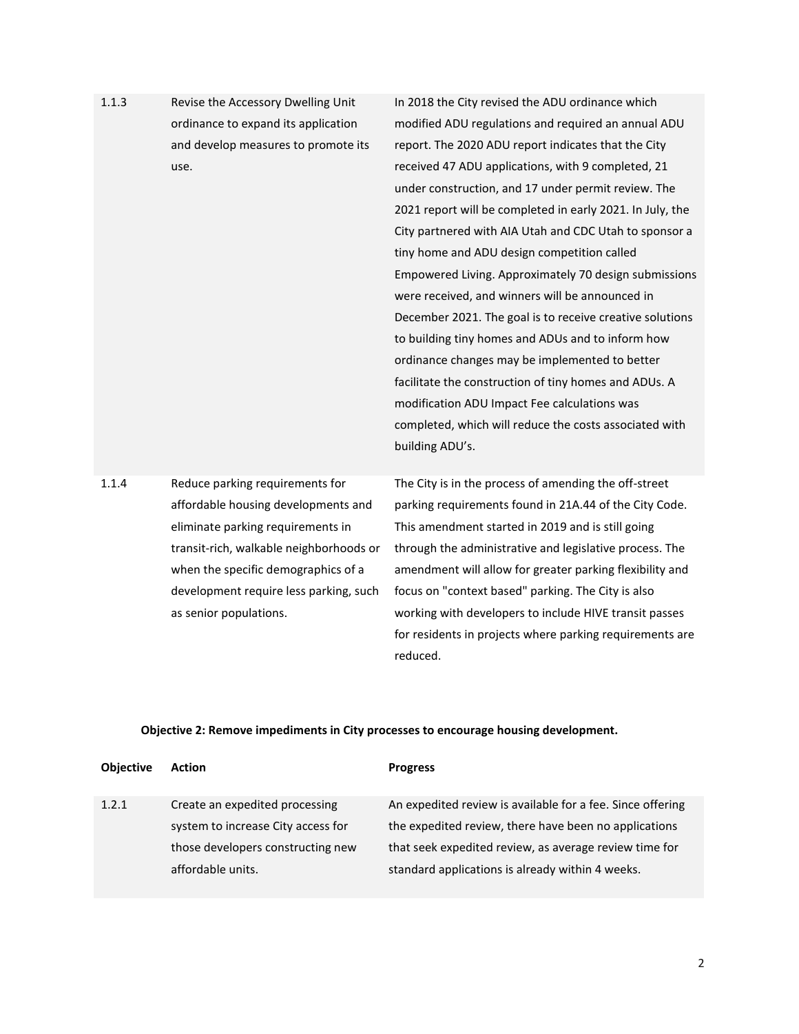| 1.1.3 | Revise the Accessory Dwelling Unit      | In 2018 the City revised the ADU ordinance which          |
|-------|-----------------------------------------|-----------------------------------------------------------|
|       | ordinance to expand its application     | modified ADU regulations and required an annual ADU       |
|       | and develop measures to promote its     | report. The 2020 ADU report indicates that the City       |
|       | use.                                    | received 47 ADU applications, with 9 completed, 21        |
|       |                                         | under construction, and 17 under permit review. The       |
|       |                                         | 2021 report will be completed in early 2021. In July, the |
|       |                                         | City partnered with AIA Utah and CDC Utah to sponsor a    |
|       |                                         | tiny home and ADU design competition called               |
|       |                                         | Empowered Living. Approximately 70 design submissions     |
|       |                                         | were received, and winners will be announced in           |
|       |                                         | December 2021. The goal is to receive creative solutions  |
|       |                                         | to building tiny homes and ADUs and to inform how         |
|       |                                         | ordinance changes may be implemented to better            |
|       |                                         | facilitate the construction of tiny homes and ADUs. A     |
|       |                                         | modification ADU Impact Fee calculations was              |
|       |                                         | completed, which will reduce the costs associated with    |
|       |                                         | building ADU's.                                           |
|       |                                         |                                                           |
| 1.1.4 | Reduce parking requirements for         | The City is in the process of amending the off-street     |
|       | affordable housing developments and     | parking requirements found in 21A.44 of the City Code.    |
|       | eliminate parking requirements in       | This amendment started in 2019 and is still going         |
|       | transit-rich, walkable neighborhoods or | through the administrative and legislative process. The   |
|       | when the specific demographics of a     | amendment will allow for greater parking flexibility and  |
|       | development require less parking, such  | focus on "context based" parking. The City is also        |
|       | as senior populations.                  | working with developers to include HIVE transit passes    |
|       |                                         | for residents in projects where parking requirements are  |

## **Objective 2: Remove impediments in City processes to encourage housing development.**

reduced.

| <b>Objective</b> | <b>Action</b>                      | <b>Progress</b>                                            |
|------------------|------------------------------------|------------------------------------------------------------|
| 1.2.1            | Create an expedited processing     | An expedited review is available for a fee. Since offering |
|                  | system to increase City access for | the expedited review, there have been no applications      |
|                  | those developers constructing new  | that seek expedited review, as average review time for     |
|                  | affordable units.                  | standard applications is already within 4 weeks.           |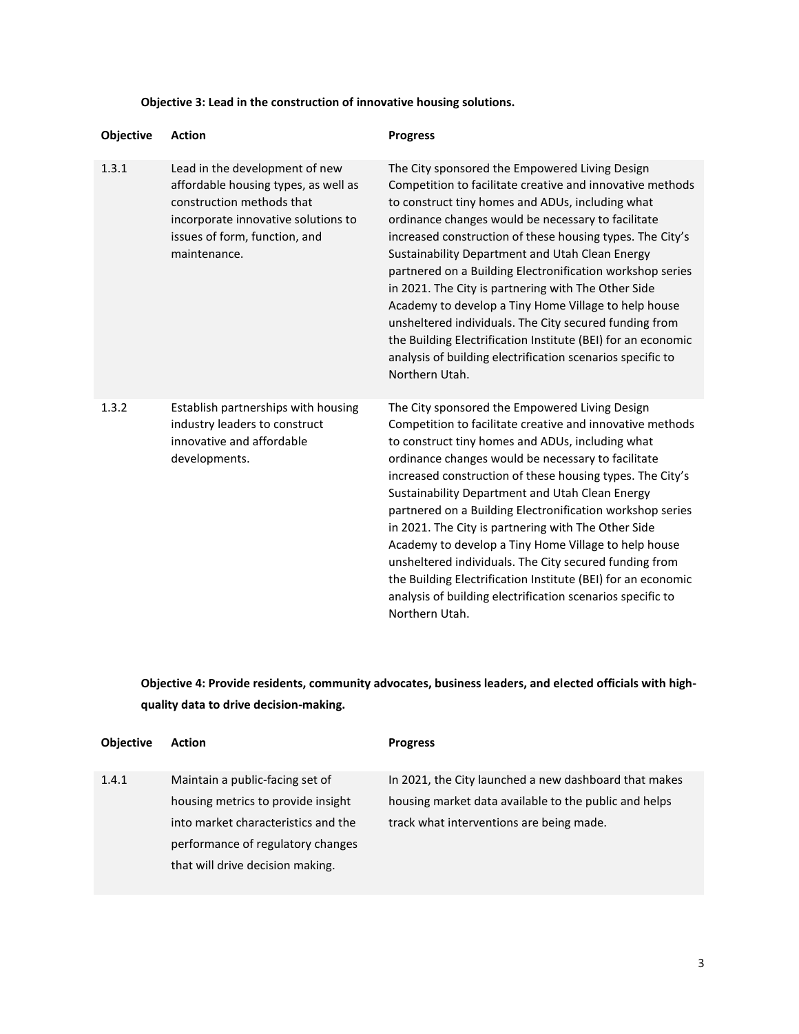#### **Objective 3: Lead in the construction of innovative housing solutions.**

| Objective | <b>Action</b>                                                                                                                                                                               | <b>Progress</b>                                                                                                                                                                                                                                                                                                                                                                                                                                                                                                                                                                                                                                                                                                             |
|-----------|---------------------------------------------------------------------------------------------------------------------------------------------------------------------------------------------|-----------------------------------------------------------------------------------------------------------------------------------------------------------------------------------------------------------------------------------------------------------------------------------------------------------------------------------------------------------------------------------------------------------------------------------------------------------------------------------------------------------------------------------------------------------------------------------------------------------------------------------------------------------------------------------------------------------------------------|
| 1.3.1     | Lead in the development of new<br>affordable housing types, as well as<br>construction methods that<br>incorporate innovative solutions to<br>issues of form, function, and<br>maintenance. | The City sponsored the Empowered Living Design<br>Competition to facilitate creative and innovative methods<br>to construct tiny homes and ADUs, including what<br>ordinance changes would be necessary to facilitate<br>increased construction of these housing types. The City's<br>Sustainability Department and Utah Clean Energy<br>partnered on a Building Electronification workshop series<br>in 2021. The City is partnering with The Other Side<br>Academy to develop a Tiny Home Village to help house<br>unsheltered individuals. The City secured funding from<br>the Building Electrification Institute (BEI) for an economic<br>analysis of building electrification scenarios specific to<br>Northern Utah. |
| 1.3.2     | Establish partnerships with housing<br>industry leaders to construct<br>innovative and affordable<br>developments.                                                                          | The City sponsored the Empowered Living Design<br>Competition to facilitate creative and innovative methods<br>to construct tiny homes and ADUs, including what<br>ordinance changes would be necessary to facilitate<br>increased construction of these housing types. The City's<br>Sustainability Department and Utah Clean Energy<br>partnered on a Building Electronification workshop series<br>in 2021. The City is partnering with The Other Side<br>Academy to develop a Tiny Home Village to help house<br>unsheltered individuals. The City secured funding from<br>the Building Electrification Institute (BEI) for an economic<br>analysis of building electrification scenarios specific to<br>Northern Utah. |

**Objective 4: Provide residents, community advocates, business leaders, and elected officials with highquality data to drive decision-making.**

| <b>Objective</b> | <b>Action</b>                       | <b>Progress</b>                                       |
|------------------|-------------------------------------|-------------------------------------------------------|
| 1.4.1            | Maintain a public-facing set of     | In 2021, the City launched a new dashboard that makes |
|                  | housing metrics to provide insight  | housing market data available to the public and helps |
|                  | into market characteristics and the | track what interventions are being made.              |
|                  | performance of regulatory changes   |                                                       |
|                  | that will drive decision making.    |                                                       |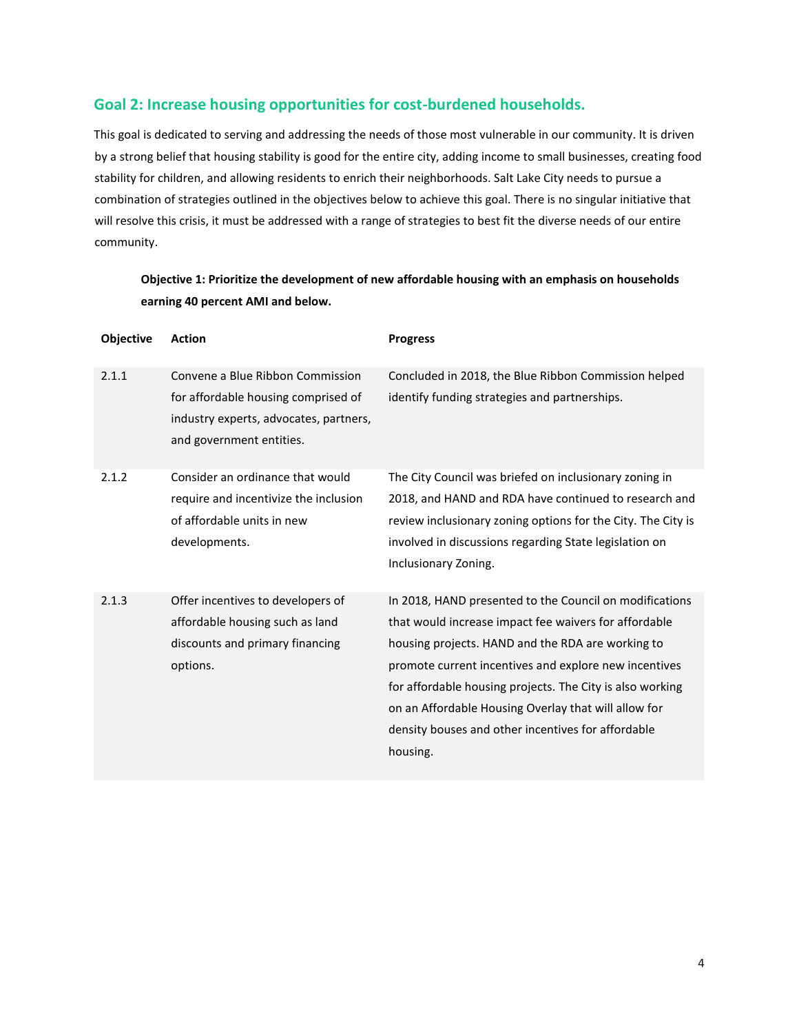#### **Goal 2: Increase housing opportunities for cost-burdened households.**

This goal is dedicated to serving and addressing the needs of those most vulnerable in our community. It is driven by a strong belief that housing stability is good for the entire city, adding income to small businesses, creating food stability for children, and allowing residents to enrich their neighborhoods. Salt Lake City needs to pursue a combination of strategies outlined in the objectives below to achieve this goal. There is no singular initiative that will resolve this crisis, it must be addressed with a range of strategies to best fit the diverse needs of our entire community.

#### **Objective 1: Prioritize the development of new affordable housing with an emphasis on households earning 40 percent AMI and below.**

| <b>Objective</b> | <b>Action</b>                                                                                                                                 | <b>Progress</b>                                                                                                                                                                                                                                                                                                                                                                                                       |
|------------------|-----------------------------------------------------------------------------------------------------------------------------------------------|-----------------------------------------------------------------------------------------------------------------------------------------------------------------------------------------------------------------------------------------------------------------------------------------------------------------------------------------------------------------------------------------------------------------------|
| 2.1.1            | Convene a Blue Ribbon Commission<br>for affordable housing comprised of<br>industry experts, advocates, partners,<br>and government entities. | Concluded in 2018, the Blue Ribbon Commission helped<br>identify funding strategies and partnerships.                                                                                                                                                                                                                                                                                                                 |
| 2.1.2            | Consider an ordinance that would<br>require and incentivize the inclusion<br>of affordable units in new<br>developments.                      | The City Council was briefed on inclusionary zoning in<br>2018, and HAND and RDA have continued to research and<br>review inclusionary zoning options for the City. The City is<br>involved in discussions regarding State legislation on<br>Inclusionary Zoning.                                                                                                                                                     |
| 2.1.3            | Offer incentives to developers of<br>affordable housing such as land<br>discounts and primary financing<br>options.                           | In 2018, HAND presented to the Council on modifications<br>that would increase impact fee waivers for affordable<br>housing projects. HAND and the RDA are working to<br>promote current incentives and explore new incentives<br>for affordable housing projects. The City is also working<br>on an Affordable Housing Overlay that will allow for<br>density bouses and other incentives for affordable<br>housing. |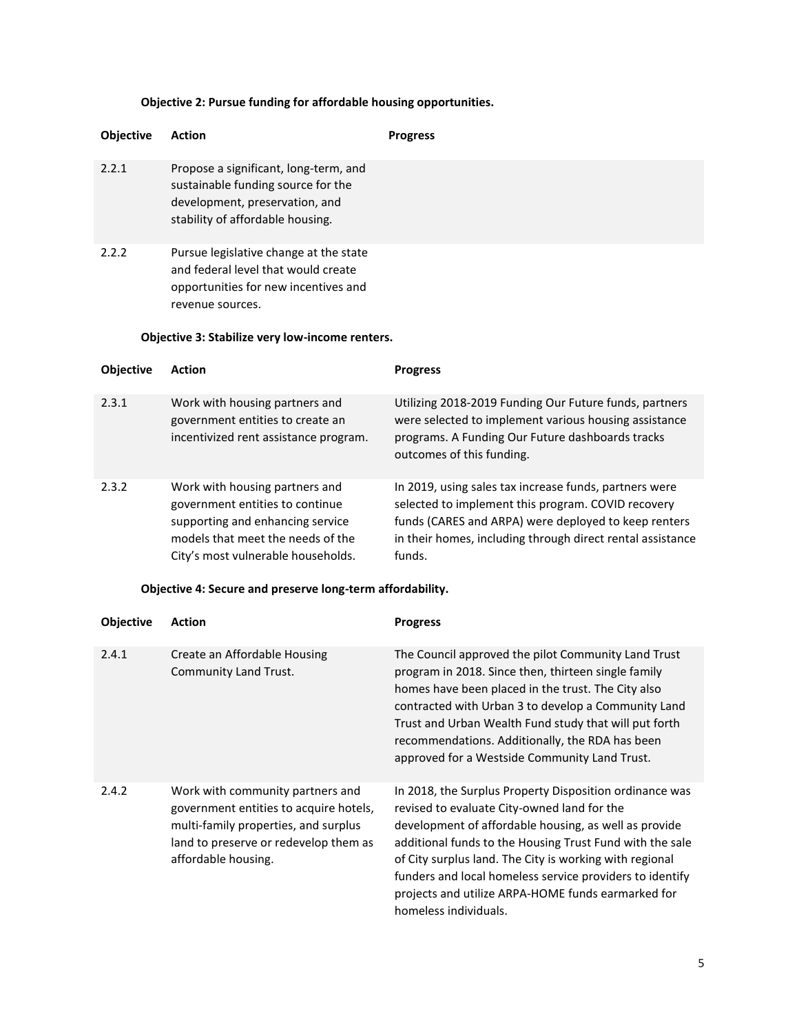## **Objective 2: Pursue funding for affordable housing opportunities.**

| Objective | Action                                                                                                                                                                                       | <b>Progress</b> |
|-----------|----------------------------------------------------------------------------------------------------------------------------------------------------------------------------------------------|-----------------|
| 2.2.1     | Propose a significant, long-term, and<br>sustainable funding source for the<br>development, preservation, and<br>stability of affordable housing.                                            |                 |
| 2.2.2     | Pursue legislative change at the state<br>and federal level that would create<br>opportunities for new incentives and<br>revenue sources.<br>Objective 3: Stabilize very low-income renters. |                 |

| <b>Objective</b> | <b>Action</b>                                                                                                                                                                    | <b>Progress</b>                                                                                                                                                                                                                              |
|------------------|----------------------------------------------------------------------------------------------------------------------------------------------------------------------------------|----------------------------------------------------------------------------------------------------------------------------------------------------------------------------------------------------------------------------------------------|
| 2.3.1            | Work with housing partners and<br>government entities to create an<br>incentivized rent assistance program.                                                                      | Utilizing 2018-2019 Funding Our Future funds, partners<br>were selected to implement various housing assistance<br>programs. A Funding Our Future dashboards tracks<br>outcomes of this funding.                                             |
| 2.3.2            | Work with housing partners and<br>government entities to continue<br>supporting and enhancing service<br>models that meet the needs of the<br>City's most vulnerable households. | In 2019, using sales tax increase funds, partners were<br>selected to implement this program. COVID recovery<br>funds (CARES and ARPA) were deployed to keep renters<br>in their homes, including through direct rental assistance<br>funds. |

#### **Objective 4: Secure and preserve long-term affordability.**

| <b>Objective</b> | Action                                                                                                                                                                             | <b>Progress</b>                                                                                                                                                                                                                                                                                                                                                                                                                   |
|------------------|------------------------------------------------------------------------------------------------------------------------------------------------------------------------------------|-----------------------------------------------------------------------------------------------------------------------------------------------------------------------------------------------------------------------------------------------------------------------------------------------------------------------------------------------------------------------------------------------------------------------------------|
| 2.4.1            | Create an Affordable Housing<br>Community Land Trust.                                                                                                                              | The Council approved the pilot Community Land Trust<br>program in 2018. Since then, thirteen single family<br>homes have been placed in the trust. The City also<br>contracted with Urban 3 to develop a Community Land<br>Trust and Urban Wealth Fund study that will put forth<br>recommendations. Additionally, the RDA has been<br>approved for a Westside Community Land Trust.                                              |
| 2.4.2            | Work with community partners and<br>government entities to acquire hotels,<br>multi-family properties, and surplus<br>land to preserve or redevelop them as<br>affordable housing. | In 2018, the Surplus Property Disposition ordinance was<br>revised to evaluate City-owned land for the<br>development of affordable housing, as well as provide<br>additional funds to the Housing Trust Fund with the sale<br>of City surplus land. The City is working with regional<br>funders and local homeless service providers to identify<br>projects and utilize ARPA-HOME funds earmarked for<br>homeless individuals. |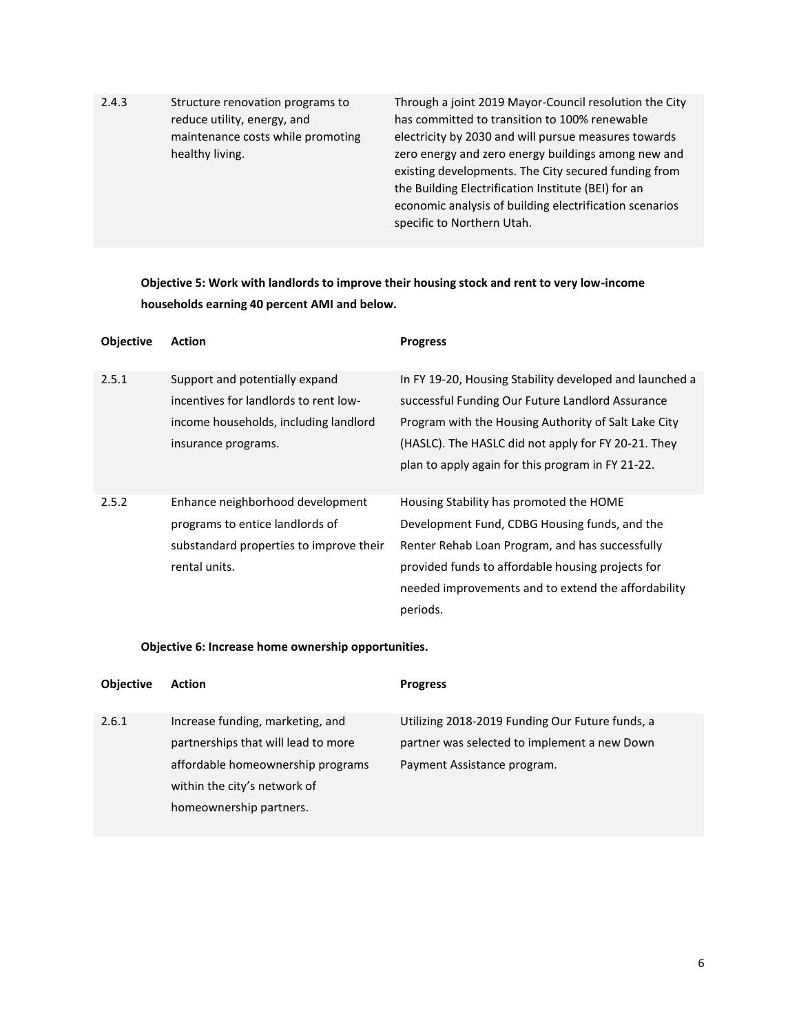| 2.4.3 | Structure renovation programs to  |
|-------|-----------------------------------|
|       | reduce utility, energy, and       |
|       | maintenance costs while promoting |
|       | healthy living.                   |

Through a joint 2019 Mayor-Council resolution the City has committed to transition to 100% renewable electricity by 2030 and will pursue measures towards zero energy and zero energy buildings among new and existing developments. The City secured funding from the Building Electrification Institute (BEI) for an economic analysis of building electrification scenarios specific to Northern Utah.

**Objective 5: Work with landlords to improve their housing stock and rent to very low-income households earning 40 percent AMI and below.**

| <b>Objective</b> | <b>Action</b>                                                                                                                           | <b>Progress</b>                                                                                                                                                                                                                                                                 |
|------------------|-----------------------------------------------------------------------------------------------------------------------------------------|---------------------------------------------------------------------------------------------------------------------------------------------------------------------------------------------------------------------------------------------------------------------------------|
| 2.5.1            | Support and potentially expand<br>incentives for landlords to rent low-<br>income households, including landlord<br>insurance programs. | In FY 19-20, Housing Stability developed and launched a<br>successful Funding Our Future Landlord Assurance<br>Program with the Housing Authority of Salt Lake City<br>(HASLC). The HASLC did not apply for FY 20-21. They<br>plan to apply again for this program in FY 21-22. |
| 2.5.2            | Enhance neighborhood development<br>programs to entice landlords of<br>substandard properties to improve their<br>rental units.         | Housing Stability has promoted the HOME<br>Development Fund, CDBG Housing funds, and the<br>Renter Rehab Loan Program, and has successfully<br>provided funds to affordable housing projects for<br>needed improvements and to extend the affordability<br>periods.             |

#### **Objective 6: Increase home ownership opportunities.**

| <b>Objective</b> | <b>Action</b>                       | <b>Progress</b>                                 |
|------------------|-------------------------------------|-------------------------------------------------|
| 2.6.1            | Increase funding, marketing, and    | Utilizing 2018-2019 Funding Our Future funds, a |
|                  | partnerships that will lead to more | partner was selected to implement a new Down    |
|                  | affordable homeownership programs   | Payment Assistance program.                     |
|                  | within the city's network of        |                                                 |
|                  | homeownership partners.             |                                                 |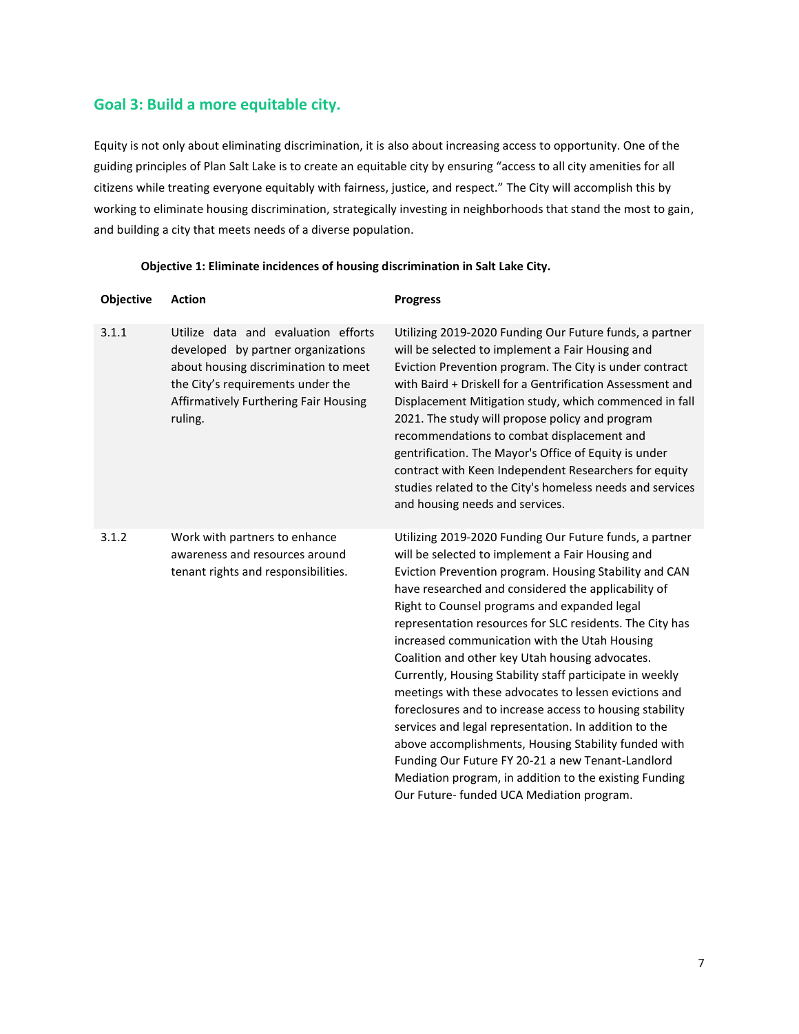## **Goal 3: Build a more equitable city.**

Equity is not only about eliminating discrimination, it is also about increasing access to opportunity. One of the guiding principles of Plan Salt Lake is to create an equitable city by ensuring "access to all city amenities for all citizens while treating everyone equitably with fairness, justice, and respect." The City will accomplish this by working to eliminate housing discrimination, strategically investing in neighborhoods that stand the most to gain, and building a city that meets needs of a diverse population.

| Objective | <b>Action</b>                                                                                                                                                                                              | <b>Progress</b>                                                                                                                                                                                                                                                                                                                                                                                                                                                                                                                                                                                                                                                                                                                                                                                                                                                                                            |
|-----------|------------------------------------------------------------------------------------------------------------------------------------------------------------------------------------------------------------|------------------------------------------------------------------------------------------------------------------------------------------------------------------------------------------------------------------------------------------------------------------------------------------------------------------------------------------------------------------------------------------------------------------------------------------------------------------------------------------------------------------------------------------------------------------------------------------------------------------------------------------------------------------------------------------------------------------------------------------------------------------------------------------------------------------------------------------------------------------------------------------------------------|
| 3.1.1     | Utilize data and evaluation efforts<br>developed by partner organizations<br>about housing discrimination to meet<br>the City's requirements under the<br>Affirmatively Furthering Fair Housing<br>ruling. | Utilizing 2019-2020 Funding Our Future funds, a partner<br>will be selected to implement a Fair Housing and<br>Eviction Prevention program. The City is under contract<br>with Baird + Driskell for a Gentrification Assessment and<br>Displacement Mitigation study, which commenced in fall<br>2021. The study will propose policy and program<br>recommendations to combat displacement and<br>gentrification. The Mayor's Office of Equity is under<br>contract with Keen Independent Researchers for equity<br>studies related to the City's homeless needs and services<br>and housing needs and services.                                                                                                                                                                                                                                                                                           |
| 3.1.2     | Work with partners to enhance<br>awareness and resources around<br>tenant rights and responsibilities.                                                                                                     | Utilizing 2019-2020 Funding Our Future funds, a partner<br>will be selected to implement a Fair Housing and<br>Eviction Prevention program. Housing Stability and CAN<br>have researched and considered the applicability of<br>Right to Counsel programs and expanded legal<br>representation resources for SLC residents. The City has<br>increased communication with the Utah Housing<br>Coalition and other key Utah housing advocates.<br>Currently, Housing Stability staff participate in weekly<br>meetings with these advocates to lessen evictions and<br>foreclosures and to increase access to housing stability<br>services and legal representation. In addition to the<br>above accomplishments, Housing Stability funded with<br>Funding Our Future FY 20-21 a new Tenant-Landlord<br>Mediation program, in addition to the existing Funding<br>Our Future- funded UCA Mediation program. |

#### **Objective 1: Eliminate incidences of housing discrimination in Salt Lake City.**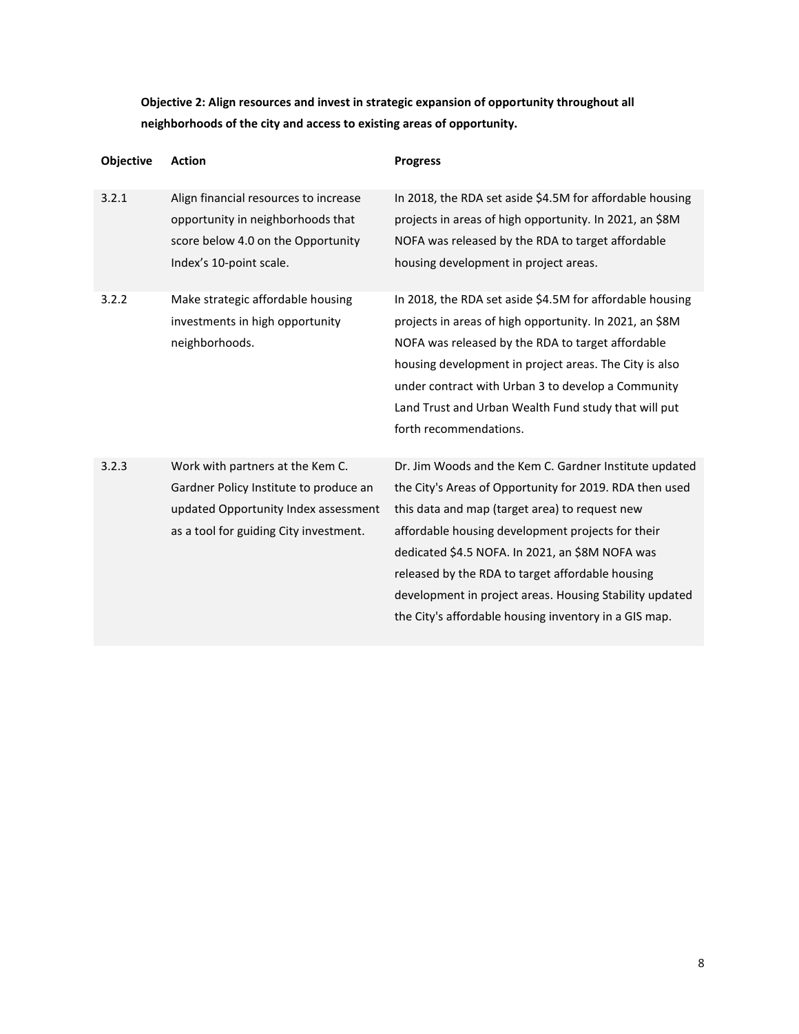**Objective 2: Align resources and invest in strategic expansion of opportunity throughout all neighborhoods of the city and access to existing areas of opportunity.**

| Objective | <b>Action</b>                                                                                                                                                | <b>Progress</b>                                                                                                                                                                                                                                                                                                                                                                                                                                     |
|-----------|--------------------------------------------------------------------------------------------------------------------------------------------------------------|-----------------------------------------------------------------------------------------------------------------------------------------------------------------------------------------------------------------------------------------------------------------------------------------------------------------------------------------------------------------------------------------------------------------------------------------------------|
| 3.2.1     | Align financial resources to increase<br>opportunity in neighborhoods that<br>score below 4.0 on the Opportunity<br>Index's 10-point scale.                  | In 2018, the RDA set aside \$4.5M for affordable housing<br>projects in areas of high opportunity. In 2021, an \$8M<br>NOFA was released by the RDA to target affordable<br>housing development in project areas.                                                                                                                                                                                                                                   |
| 3.2.2     | Make strategic affordable housing<br>investments in high opportunity<br>neighborhoods.                                                                       | In 2018, the RDA set aside \$4.5M for affordable housing<br>projects in areas of high opportunity. In 2021, an \$8M<br>NOFA was released by the RDA to target affordable<br>housing development in project areas. The City is also<br>under contract with Urban 3 to develop a Community<br>Land Trust and Urban Wealth Fund study that will put<br>forth recommendations.                                                                          |
| 3.2.3     | Work with partners at the Kem C.<br>Gardner Policy Institute to produce an<br>updated Opportunity Index assessment<br>as a tool for guiding City investment. | Dr. Jim Woods and the Kem C. Gardner Institute updated<br>the City's Areas of Opportunity for 2019. RDA then used<br>this data and map (target area) to request new<br>affordable housing development projects for their<br>dedicated \$4.5 NOFA. In 2021, an \$8M NOFA was<br>released by the RDA to target affordable housing<br>development in project areas. Housing Stability updated<br>the City's affordable housing inventory in a GIS map. |